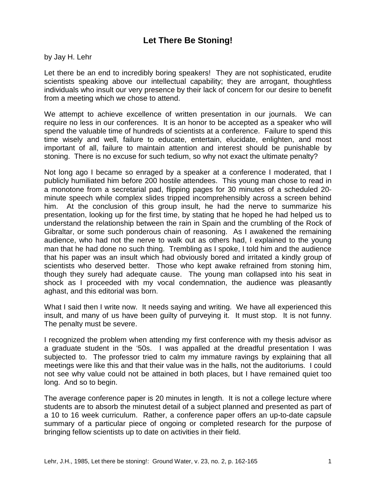## **Let There Be Stoning!**

by Jay H. Lehr

Let there be an end to incredibly boring speakers! They are not sophisticated, erudite scientists speaking above our intellectual capability; they are arrogant, thoughtless individuals who insult our very presence by their lack of concern for our desire to benefit from a meeting which we chose to attend.

We attempt to achieve excellence of written presentation in our journals. We can require no less in our conferences. It is an honor to be accepted as a speaker who will spend the valuable time of hundreds of scientists at a conference. Failure to spend this time wisely and well, failure to educate, entertain, elucidate, enlighten, and most important of all, failure to maintain attention and interest should be punishable by stoning. There is no excuse for such tedium, so why not exact the ultimate penalty?

Not long ago I became so enraged by a speaker at a conference I moderated, that I publicly humiliated him before 200 hostile attendees. This young man chose to read in a monotone from a secretarial pad, flipping pages for 30 minutes of a scheduled 20 minute speech while complex slides tripped incomprehensibly across a screen behind him. At the conclusion of this group insult, he had the nerve to summarize his presentation, looking up for the first time, by stating that he hoped he had helped us to understand the relationship between the rain in Spain and the crumbling of the Rock of Gibraltar, or some such ponderous chain of reasoning. As I awakened the remaining audience, who had not the nerve to walk out as others had, I explained to the young man that he had done no such thing. Trembling as I spoke, I told him and the audience that his paper was an insult which had obviously bored and irritated a kindly group of scientists who deserved better. Those who kept awake refrained from stoning him, though they surely had adequate cause. The young man collapsed into his seat in shock as I proceeded with my vocal condemnation, the audience was pleasantly aghast, and this editorial was born.

What I said then I write now. It needs saying and writing. We have all experienced this insult, and many of us have been guilty of purveying it. It must stop. It is not funny. The penalty must be severe.

I recognized the problem when attending my first conference with my thesis advisor as a graduate student in the '50s. I was appalled at the dreadful presentation I was subjected to. The professor tried to calm my immature ravings by explaining that all meetings were like this and that their value was in the halls, not the auditoriums. I could not see why value could not be attained in both places, but I have remained quiet too long. And so to begin.

The average conference paper is 20 minutes in length. It is not a college lecture where students are to absorb the minutest detail of a subject planned and presented as part of a 10 to 16 week curriculum. Rather, a conference paper offers an up-to-date capsule summary of a particular piece of ongoing or completed research for the purpose of bringing fellow scientists up to date on activities in their field.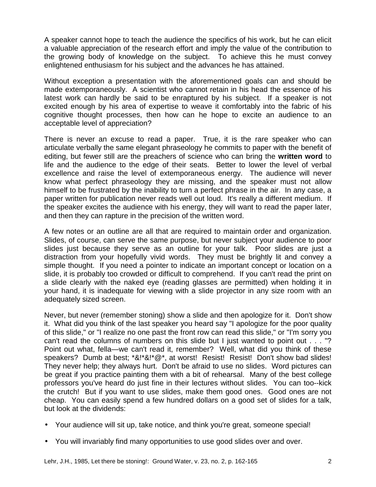A speaker cannot hope to teach the audience the specifics of his work, but he can elicit a valuable appreciation of the research effort and imply the value of the contribution to the growing body of knowledge on the subject. To achieve this he must convey enlightened enthusiasm for his subject and the advances he has attained.

Without exception a presentation with the aforementioned goals can and should be made extemporaneously. A scientist who cannot retain in his head the essence of his latest work can hardly be said to be enraptured by his subject. If a speaker is not excited enough by his area of expertise to weave it comfortably into the fabric of his cognitive thought processes, then how can he hope to excite an audience to an acceptable level of appreciation?

There is never an excuse to read a paper. True, it is the rare speaker who can articulate verbally the same elegant phraseology he commits to paper with the benefit of editing, but fewer still are the preachers of science who can bring the **written word** to life and the audience to the edge of their seats. Better to lower the level of verbal excellence and raise the level of extemporaneous energy. The audience will never know what perfect phraseology they are missing, and the speaker must not allow himself to be frustrated by the inability to turn a perfect phrase in the air. In any case, a paper written for publication never reads well out loud. It's really a different medium. If the speaker excites the audience with his energy, they will want to read the paper later, and then they can rapture in the precision of the written word.

A few notes or an outline are all that are required to maintain order and organization. Slides, of course, can serve the same purpose, but never subject your audience to poor slides just because they serve as an outline for your talk. Poor slides are just a distraction from your hopefully vivid words. They must be brightly lit and convey a simple thought. If you need a pointer to indicate an important concept or location on a slide, it is probably too crowded or difficult to comprehend. If you can't read the print on a slide clearly with the naked eye (reading glasses are permitted) when holding it in your hand, it is inadequate for viewing with a slide projector in any size room with an adequately sized screen.

Never, but never (remember stoning) show a slide and then apologize for it. Don't show it. What did you think of the last speaker you heard say "I apologize for the poor quality of this slide," or "I realize no one past the front row can read this slide," or "I'm sorry you can't read the columns of numbers on this slide but I just wanted to point out . . . "? Point out what, fella—we can't read it, remember? Well, what did you think of these speakers? Dumb at best; \*&!\*&!\*@\*, at worst! Resist! Resist! Don't show bad slides! They never help; they always hurt. Don't be afraid to use no slides. Word pictures can be great if you practice painting them with a bit of rehearsal. Many of the best college professors you've heard do just fine in their lectures without slides. You can too--kick the crutch! But if you want to use slides, make them good ones. Good ones are not cheap. You can easily spend a few hundred dollars on a good set of slides for a talk, but look at the dividends:

- Your audience will sit up, take notice, and think you're great, someone special!
- You will invariably find many opportunities to use good slides over and over.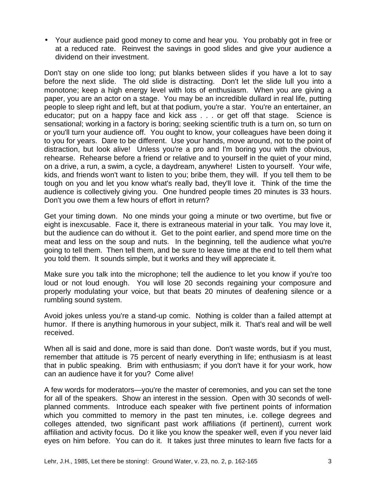• Your audience paid good money to come and hear you. You probably got in free or at a reduced rate. Reinvest the savings in good slides and give your audience a dividend on their investment.

Don't stay on one slide too long; put blanks between slides if you have a lot to say before the next slide. The old slide is distracting. Don't let the slide lull you into a monotone; keep a high energy level with lots of enthusiasm. When you are giving a paper, you are an actor on a stage. You may be an incredible dullard in real life, putting people to sleep right and left, but at that podium, you're a star. You're an entertainer, an educator; put on a happy face and kick ass . . . or get off that stage. Science is sensational; working in a factory is boring; seeking scientific truth is a turn on, so turn on or you'll turn your audience off. You ought to know, your colleagues have been doing it to you for years. Dare to be different. Use your hands, move around, not to the point of distraction, but look alive! Unless you're a pro and I'm boring you with the obvious, rehearse. Rehearse before a friend or relative and to yourself in the quiet of your mind, on a drive, a run, a swim, a cycle, a daydream, anywhere! Listen to yourself. Your wife, kids, and friends won't want to listen to you; bribe them, they will. If you tell them to be tough on you and let you know what's really bad, they'll love it. Think of the time the audience is collectively giving you. One hundred people times 20 minutes is 33 hours. Don't you owe them a few hours of effort in return?

Get your timing down. No one minds your going a minute or two overtime, but five or eight is inexcusable. Face it, there is extraneous material in your talk. You may love it, but the audience can do without it. Get to the point earlier, and spend more time on the meat and less on the soup and nuts. In the beginning, tell the audience what you're going to tell them. Then tell them, and be sure to leave time at the end to tell them what you told them. It sounds simple, but it works and they will appreciate it.

Make sure you talk into the microphone; tell the audience to let you know if you're too loud or not loud enough. You will lose 20 seconds regaining your composure and properly modulating your voice, but that beats 20 minutes of deafening silence or a rumbling sound system.

Avoid jokes unless you're a stand-up comic. Nothing is colder than a failed attempt at humor. If there is anything humorous in your subject, milk it. That's real and will be well received.

When all is said and done, more is said than done. Don't waste words, but if you must, remember that attitude is 75 percent of nearly everything in life; enthusiasm is at least that in public speaking. Brim with enthusiasm; if you don't have it for your work, how can an audience have it for you? Come alive!

A few words for moderators—you're the master of ceremonies, and you can set the tone for all of the speakers. Show an interest in the session. Open with 30 seconds of wellplanned comments. Introduce each speaker with five pertinent points of information which you committed to memory in the past ten minutes, i.e. college degrees and colleges attended, two significant past work affiliations (if pertinent), current work affiliation and activity focus. Do it like you know the speaker well, even if you never laid eyes on him before. You can do it. It takes just three minutes to learn five facts for a